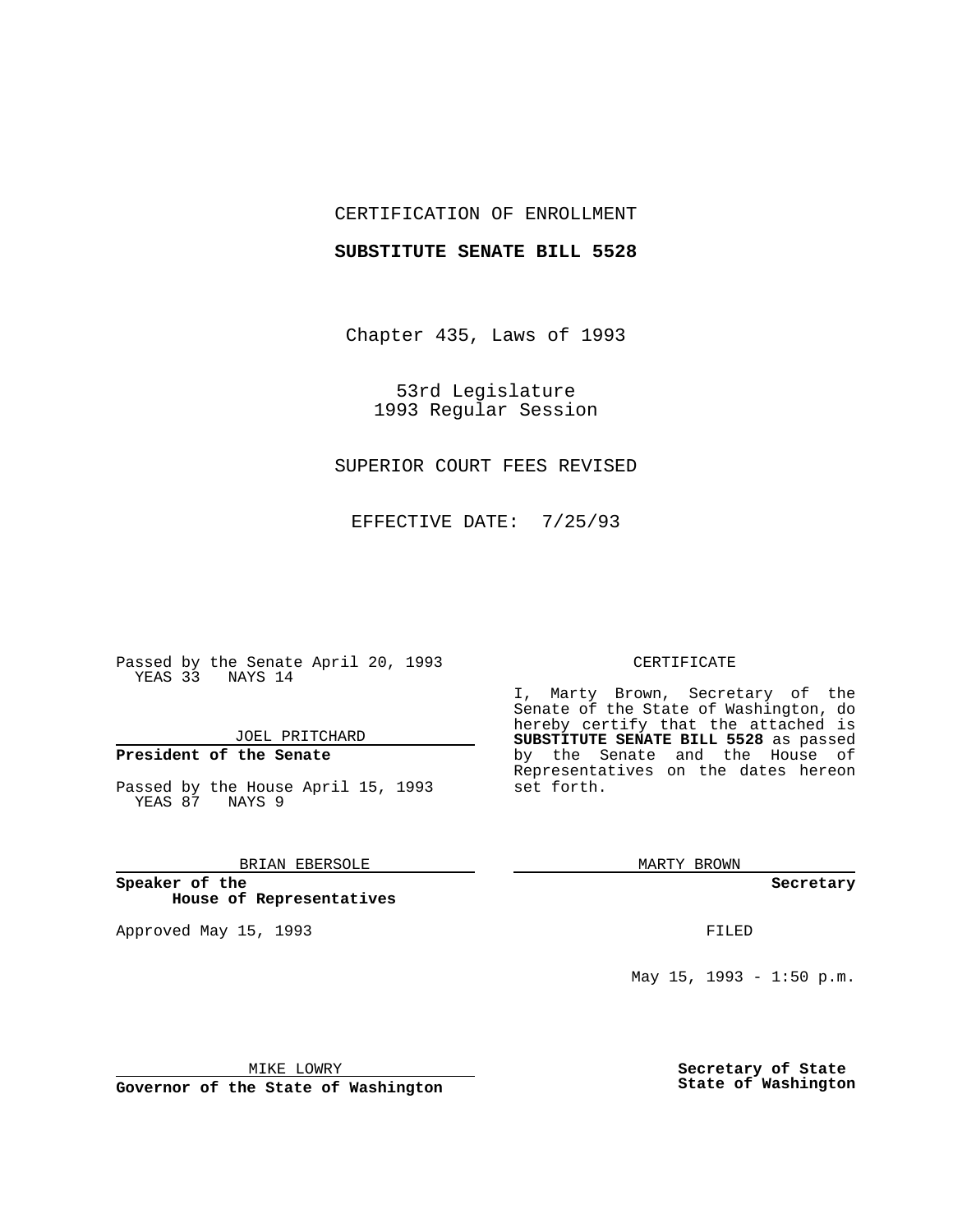## CERTIFICATION OF ENROLLMENT

### **SUBSTITUTE SENATE BILL 5528**

Chapter 435, Laws of 1993

53rd Legislature 1993 Regular Session

# SUPERIOR COURT FEES REVISED

EFFECTIVE DATE: 7/25/93

Passed by the Senate April 20, 1993 YEAS 33 NAYS 14

JOEL PRITCHARD

# **President of the Senate**

Passed by the House April 15, 1993 YEAS 87 NAYS 9

## BRIAN EBERSOLE

**Speaker of the House of Representatives**

Approved May 15, 1993 **FILED** 

#### CERTIFICATE

I, Marty Brown, Secretary of the Senate of the State of Washington, do hereby certify that the attached is **SUBSTITUTE SENATE BILL 5528** as passed by the Senate and the House of Representatives on the dates hereon set forth.

MARTY BROWN

**Secretary**

May 15, 1993 - 1:50 p.m.

MIKE LOWRY

**Governor of the State of Washington**

**Secretary of State State of Washington**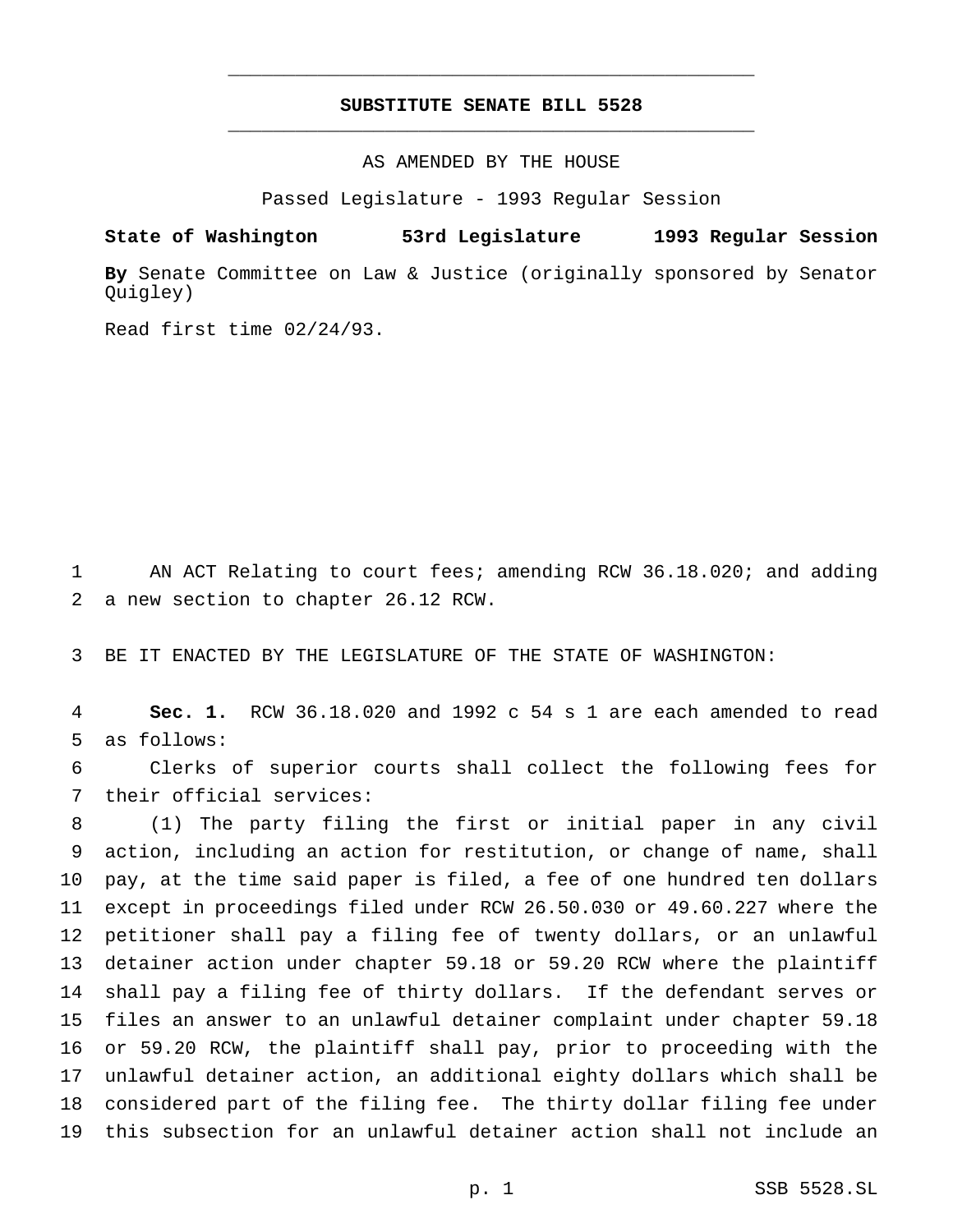# **SUBSTITUTE SENATE BILL 5528** \_\_\_\_\_\_\_\_\_\_\_\_\_\_\_\_\_\_\_\_\_\_\_\_\_\_\_\_\_\_\_\_\_\_\_\_\_\_\_\_\_\_\_\_\_\_\_

\_\_\_\_\_\_\_\_\_\_\_\_\_\_\_\_\_\_\_\_\_\_\_\_\_\_\_\_\_\_\_\_\_\_\_\_\_\_\_\_\_\_\_\_\_\_\_

### AS AMENDED BY THE HOUSE

Passed Legislature - 1993 Regular Session

#### **State of Washington 53rd Legislature 1993 Regular Session**

**By** Senate Committee on Law & Justice (originally sponsored by Senator Quigley)

Read first time 02/24/93.

 AN ACT Relating to court fees; amending RCW 36.18.020; and adding a new section to chapter 26.12 RCW.

BE IT ENACTED BY THE LEGISLATURE OF THE STATE OF WASHINGTON:

 **Sec. 1.** RCW 36.18.020 and 1992 c 54 s 1 are each amended to read as follows:

 Clerks of superior courts shall collect the following fees for their official services:

 (1) The party filing the first or initial paper in any civil action, including an action for restitution, or change of name, shall pay, at the time said paper is filed, a fee of one hundred ten dollars except in proceedings filed under RCW 26.50.030 or 49.60.227 where the petitioner shall pay a filing fee of twenty dollars, or an unlawful detainer action under chapter 59.18 or 59.20 RCW where the plaintiff shall pay a filing fee of thirty dollars. If the defendant serves or files an answer to an unlawful detainer complaint under chapter 59.18 or 59.20 RCW, the plaintiff shall pay, prior to proceeding with the unlawful detainer action, an additional eighty dollars which shall be considered part of the filing fee. The thirty dollar filing fee under this subsection for an unlawful detainer action shall not include an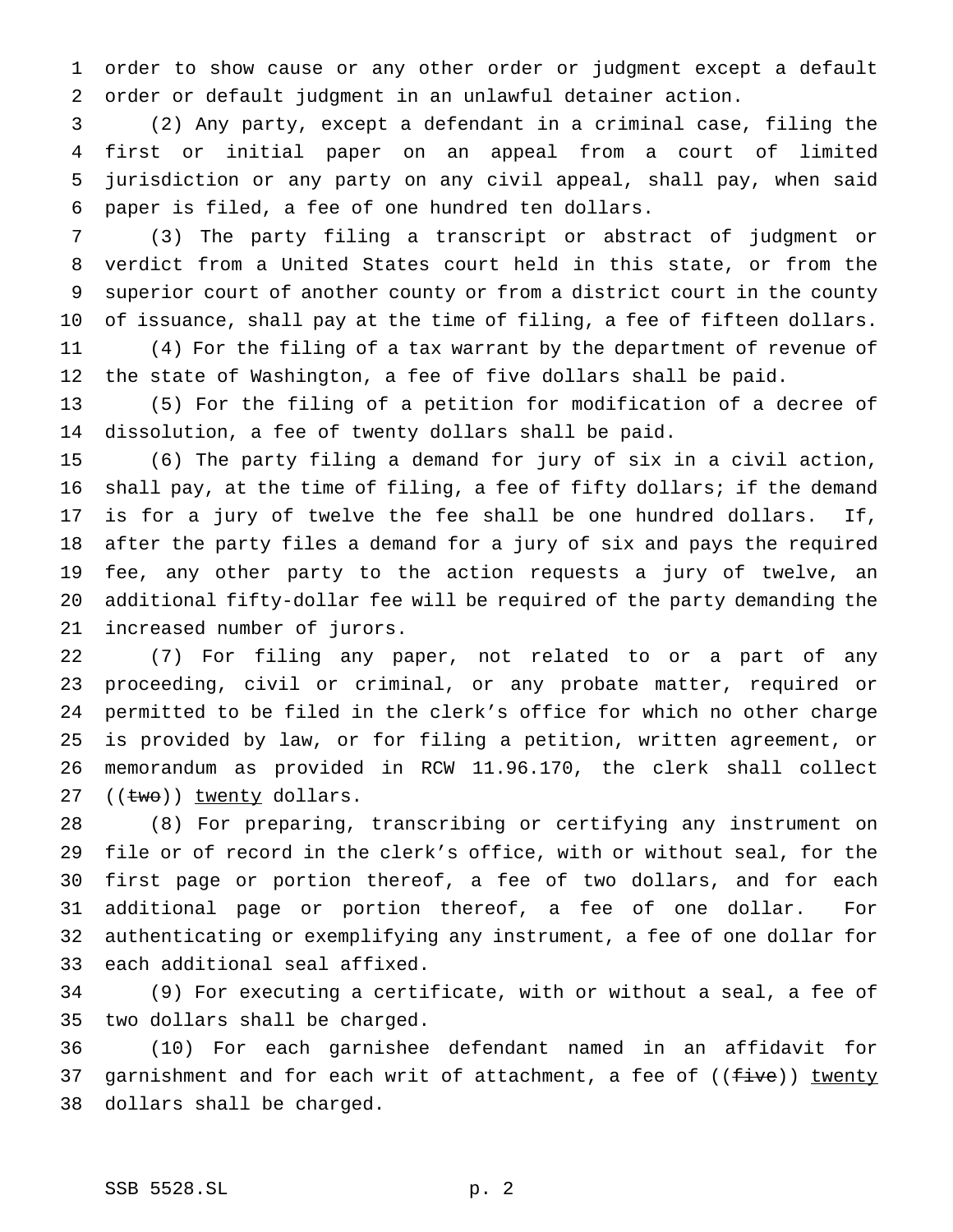order to show cause or any other order or judgment except a default order or default judgment in an unlawful detainer action.

 (2) Any party, except a defendant in a criminal case, filing the first or initial paper on an appeal from a court of limited jurisdiction or any party on any civil appeal, shall pay, when said paper is filed, a fee of one hundred ten dollars.

 (3) The party filing a transcript or abstract of judgment or verdict from a United States court held in this state, or from the superior court of another county or from a district court in the county of issuance, shall pay at the time of filing, a fee of fifteen dollars. (4) For the filing of a tax warrant by the department of revenue of the state of Washington, a fee of five dollars shall be paid.

 (5) For the filing of a petition for modification of a decree of dissolution, a fee of twenty dollars shall be paid.

 (6) The party filing a demand for jury of six in a civil action, shall pay, at the time of filing, a fee of fifty dollars; if the demand is for a jury of twelve the fee shall be one hundred dollars. If, after the party files a demand for a jury of six and pays the required fee, any other party to the action requests a jury of twelve, an additional fifty-dollar fee will be required of the party demanding the increased number of jurors.

 (7) For filing any paper, not related to or a part of any proceeding, civil or criminal, or any probate matter, required or permitted to be filed in the clerk's office for which no other charge is provided by law, or for filing a petition, written agreement, or memorandum as provided in RCW 11.96.170, the clerk shall collect 27 ((two)) twenty dollars.

 (8) For preparing, transcribing or certifying any instrument on file or of record in the clerk's office, with or without seal, for the first page or portion thereof, a fee of two dollars, and for each additional page or portion thereof, a fee of one dollar. For authenticating or exemplifying any instrument, a fee of one dollar for each additional seal affixed.

 (9) For executing a certificate, with or without a seal, a fee of two dollars shall be charged.

 (10) For each garnishee defendant named in an affidavit for 37 garnishment and for each writ of attachment, a fee of ((five)) twenty dollars shall be charged.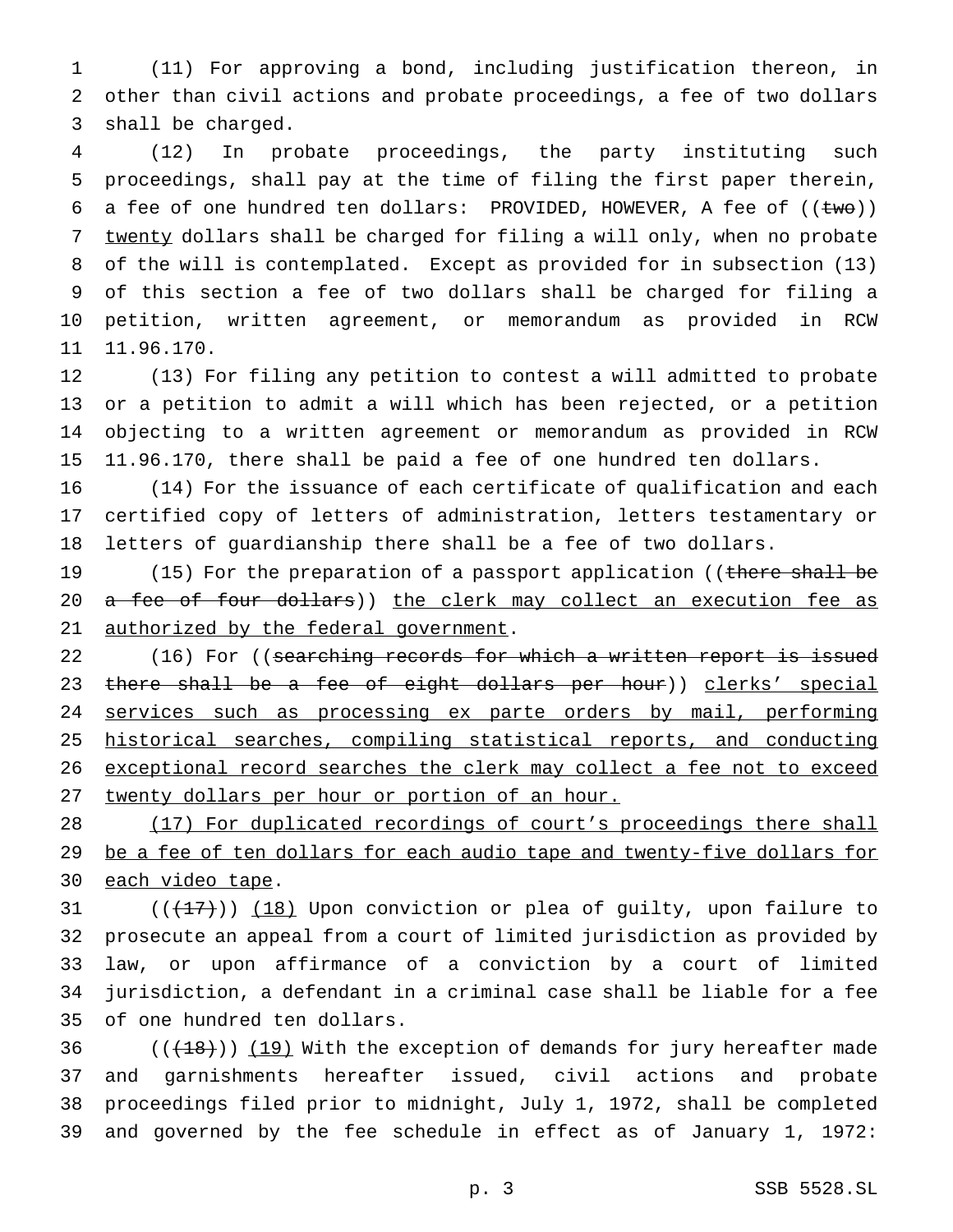(11) For approving a bond, including justification thereon, in other than civil actions and probate proceedings, a fee of two dollars shall be charged.

 (12) In probate proceedings, the party instituting such proceedings, shall pay at the time of filing the first paper therein, 6 a fee of one hundred ten dollars: PROVIDED, HOWEVER, A fee of  $((\text{two}))$ 7 twenty dollars shall be charged for filing a will only, when no probate of the will is contemplated. Except as provided for in subsection (13) of this section a fee of two dollars shall be charged for filing a petition, written agreement, or memorandum as provided in RCW 11.96.170.

 (13) For filing any petition to contest a will admitted to probate or a petition to admit a will which has been rejected, or a petition objecting to a written agreement or memorandum as provided in RCW 11.96.170, there shall be paid a fee of one hundred ten dollars.

 (14) For the issuance of each certificate of qualification and each certified copy of letters of administration, letters testamentary or letters of guardianship there shall be a fee of two dollars.

19 (15) For the preparation of a passport application ((there shall be 20 a fee of four dollars)) the clerk may collect an execution fee as 21 authorized by the federal government.

22 (16) For ((searching records for which a written report is issued 23 there shall be a fee of eight dollars per hour)) clerks' special 24 services such as processing ex parte orders by mail, performing historical searches, compiling statistical reports, and conducting 26 exceptional record searches the clerk may collect a fee not to exceed twenty dollars per hour or portion of an hour.

28 (17) For duplicated recordings of court's proceedings there shall 29 be a fee of ten dollars for each audio tape and twenty-five dollars for 30 each video tape.

 $((+17))$   $(18)$  Upon conviction or plea of guilty, upon failure to prosecute an appeal from a court of limited jurisdiction as provided by law, or upon affirmance of a conviction by a court of limited jurisdiction, a defendant in a criminal case shall be liable for a fee of one hundred ten dollars.

 $((+18))$   $(19)$  With the exception of demands for jury hereafter made and garnishments hereafter issued, civil actions and probate proceedings filed prior to midnight, July 1, 1972, shall be completed and governed by the fee schedule in effect as of January 1, 1972: